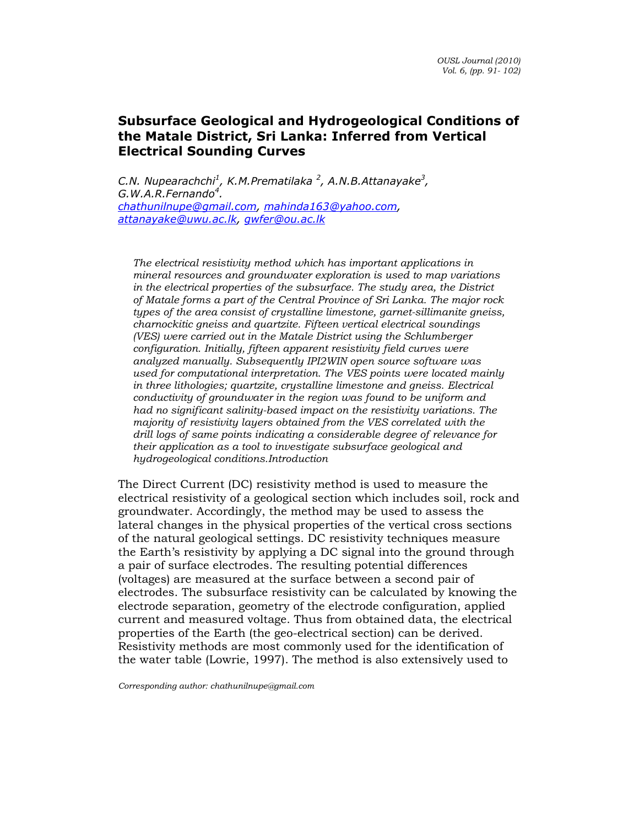C.N. Nupearachchi<sup>1</sup>, K.M.Prematilaka <sup>2</sup>, A.N.B.Attanayake<sup>3</sup>,  $G.W.A.R.Fernando<sup>4</sup>.$ chathunilnupe@gmail.com, mahinda163@yahoo.com, attanayake@uwu.ac.lk, gwfer@ou.ac.lk

The electrical resistivity method which has important applications in mineral resources and groundwater exploration is used to map variations in the electrical properties of the subsurface. The study area, the District of Matale forms a part of the Central Province of Sri Lanka. The major rock types of the area consist of crystalline limestone, garnet-sillimanite gneiss, charnockitic gneiss and quartzite. Fifteen vertical electrical soundings (VES) were carried out in the Matale District using the Schlumberger configuration. Initially, fifteen apparent resistivity field curves were analyzed manually. Subsequently IPI2WIN open source software was used for computational interpretation. The VES points were located mainly in three lithologies; quartzite, crystalline limestone and gneiss. Electrical conductivity of groundwater in the region was found to be uniform and had no significant salinity-based impact on the resistivity variations. The majority of resistivity layers obtained from the VES correlated with the drill logs of same points indicating a considerable degree of relevance for their application as a tool to investigate subsurface geological and hydrogeological conditions.Introduction

The Direct Current (DC) resistivity method is used to measure the electrical resistivity of a geological section which includes soil, rock and groundwater. Accordingly, the method may be used to assess the lateral changes in the physical properties of the vertical cross sections of the natural geological settings. DC resistivity techniques measure the Earth's resistivity by applying a DC signal into the ground through a pair of surface electrodes. The resulting potential differences (voltages) are measured at the surface between a second pair of electrodes. The subsurface resistivity can be calculated by knowing the electrode separation, geometry of the electrode configuration, applied current and measured voltage. Thus from obtained data, the electrical properties of the Earth (the geo-electrical section) can be derived. Resistivity methods are most commonly used for the identification of the water table (Lowrie, 1997). The method is also extensively used to

Corresponding author: chathunilnupe@gmail.com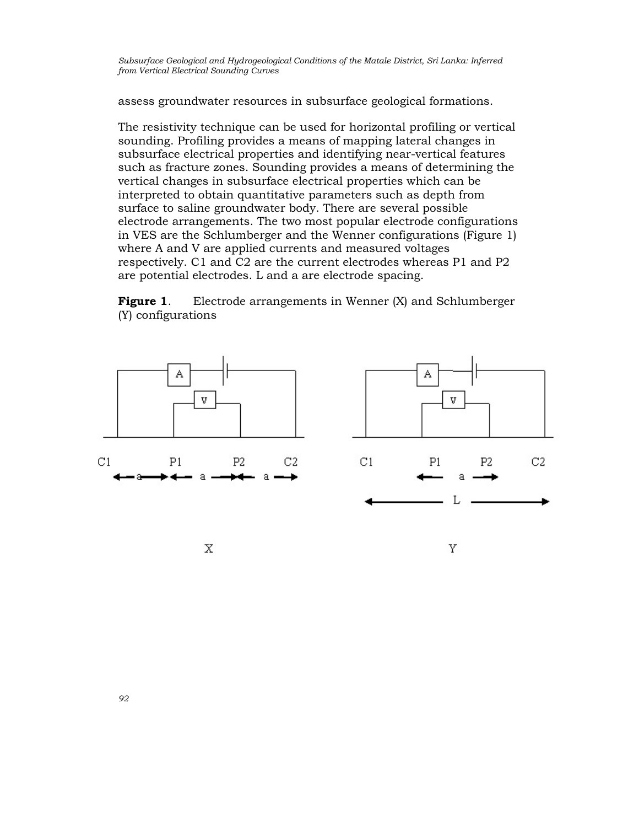assess groundwater resources in subsurface geological formations.

The resistivity technique can be used for horizontal profiling or vertical sounding. Profiling provides a means of mapping lateral changes in subsurface electrical properties and identifying near-vertical features such as fracture zones. Sounding provides a means of determining the vertical changes in subsurface electrical properties which can be interpreted to obtain quantitative parameters such as depth from surface to saline groundwater body. There are several possible electrode arrangements. The two most popular electrode configurations in VES are the Schlumberger and the Wenner configurations (Figure 1) where A and V are applied currents and measured voltages respectively. C1 and C2 are the current electrodes whereas P1 and P2 are potential electrodes. L and a are electrode spacing.

**Figure 1.** Electrode arrangements in Wenner (X) and Schlumberger (Y) configurations

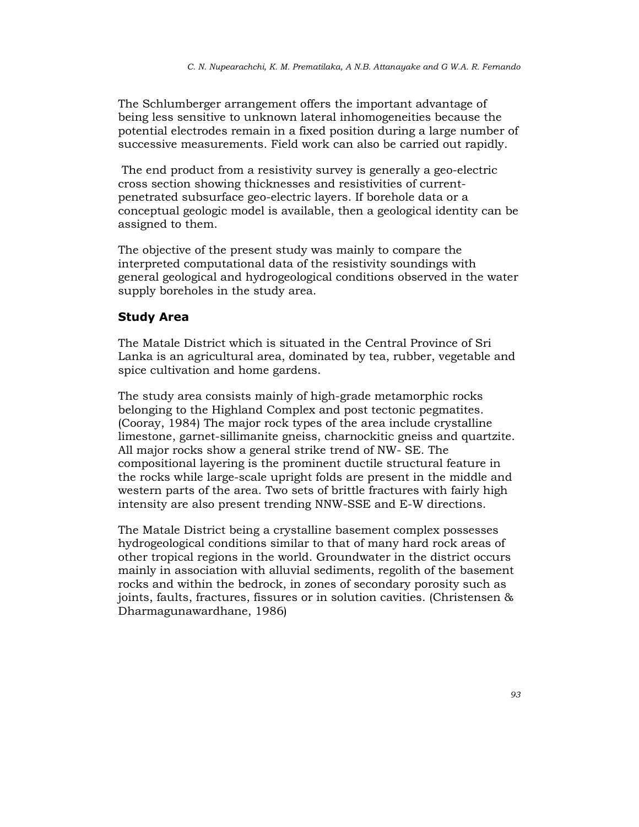The Schlumberger arrangement offers the important advantage of being less sensitive to unknown lateral inhomogeneities because the potential electrodes remain in a fixed position during a large number of successive measurements. Field work can also be carried out rapidly.

 The end product from a resistivity survey is generally a geo-electric cross section showing thicknesses and resistivities of currentpenetrated subsurface geo-electric layers. If borehole data or a conceptual geologic model is available, then a geological identity can be assigned to them.

The objective of the present study was mainly to compare the interpreted computational data of the resistivity soundings with general geological and hydrogeological conditions observed in the water supply boreholes in the study area.

#### Study Area

The Matale District which is situated in the Central Province of Sri Lanka is an agricultural area, dominated by tea, rubber, vegetable and spice cultivation and home gardens.

The study area consists mainly of high-grade metamorphic rocks belonging to the Highland Complex and post tectonic pegmatites. (Cooray, 1984) The major rock types of the area include crystalline limestone, garnet-sillimanite gneiss, charnockitic gneiss and quartzite. All major rocks show a general strike trend of NW- SE. The compositional layering is the prominent ductile structural feature in the rocks while large-scale upright folds are present in the middle and western parts of the area. Two sets of brittle fractures with fairly high intensity are also present trending NNW-SSE and E-W directions.

The Matale District being a crystalline basement complex possesses hydrogeological conditions similar to that of many hard rock areas of other tropical regions in the world. Groundwater in the district occurs mainly in association with alluvial sediments, regolith of the basement rocks and within the bedrock, in zones of secondary porosity such as joints, faults, fractures, fissures or in solution cavities. (Christensen & Dharmagunawardhane, 1986)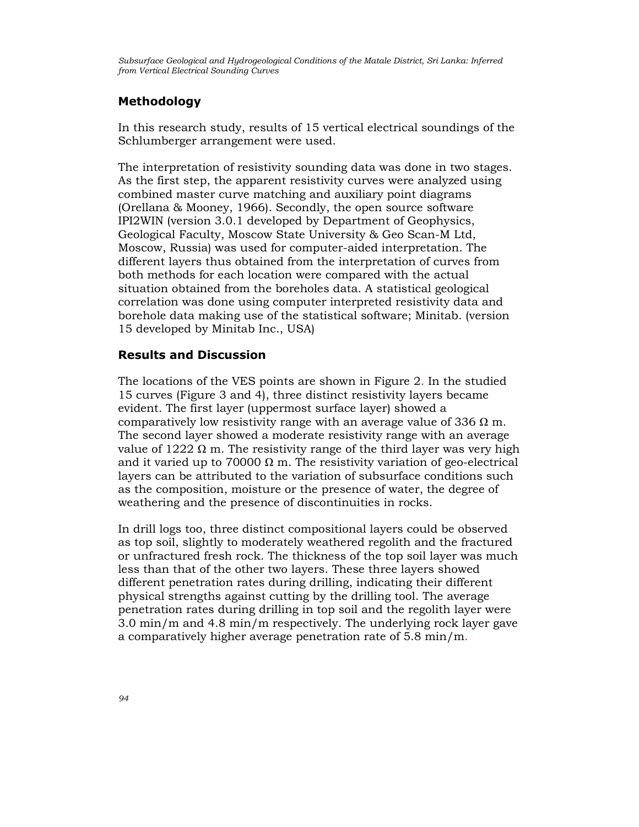## Methodology

In this research study, results of 15 vertical electrical soundings of the Schlumberger arrangement were used.

The interpretation of resistivity sounding data was done in two stages. As the first step, the apparent resistivity curves were analyzed using combined master curve matching and auxiliary point diagrams (Orellana & Mooney, 1966). Secondly, the open source software IPI2WIN (version 3.0.1 developed by Department of Geophysics, Geological Faculty, Moscow State University & Geo Scan-M Ltd, Moscow, Russia) was used for computer-aided interpretation. The different layers thus obtained from the interpretation of curves from both methods for each location were compared with the actual situation obtained from the boreholes data. A statistical geological correlation was done using computer interpreted resistivity data and borehole data making use of the statistical software; Minitab. (version 15 developed by Minitab Inc., USA)

#### Results and Discussion

The locations of the VES points are shown in Figure 2. In the studied 15 curves (Figure 3 and 4), three distinct resistivity layers became evident. The first layer (uppermost surface layer) showed a comparatively low resistivity range with an average value of 336  $\Omega$  m. The second layer showed a moderate resistivity range with an average value of 1222  $\Omega$  m. The resistivity range of the third layer was very high and it varied up to 70000  $\Omega$  m. The resistivity variation of geo-electrical layers can be attributed to the variation of subsurface conditions such as the composition, moisture or the presence of water, the degree of weathering and the presence of discontinuities in rocks.

In drill logs too, three distinct compositional layers could be observed as top soil, slightly to moderately weathered regolith and the fractured or unfractured fresh rock. The thickness of the top soil layer was much less than that of the other two layers. These three layers showed different penetration rates during drilling, indicating their different physical strengths against cutting by the drilling tool. The average penetration rates during drilling in top soil and the regolith layer were 3.0 min/m and 4.8 min/m respectively. The underlying rock layer gave a comparatively higher average penetration rate of 5.8 min/m.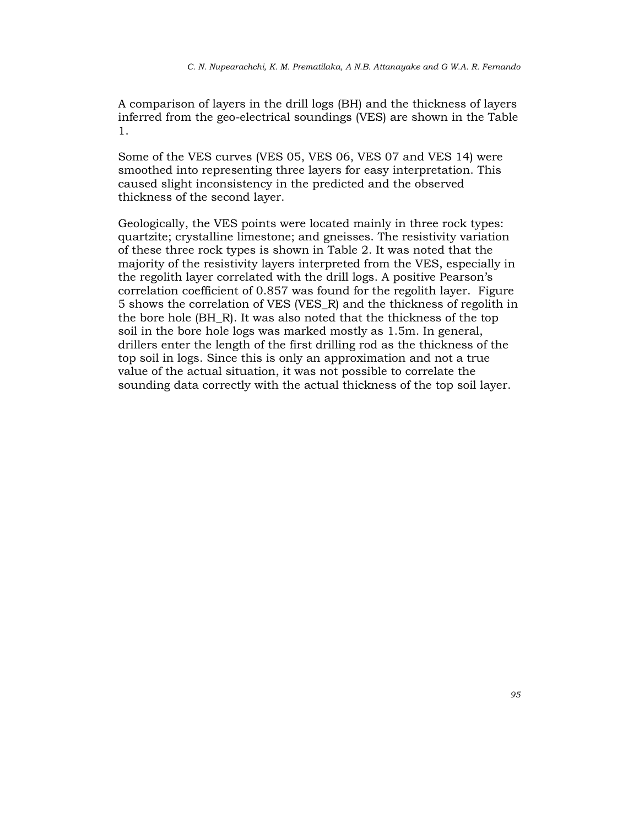A comparison of layers in the drill logs (BH) and the thickness of layers inferred from the geo-electrical soundings (VES) are shown in the Table 1.

Some of the VES curves (VES 05, VES 06, VES 07 and VES 14) were smoothed into representing three layers for easy interpretation. This caused slight inconsistency in the predicted and the observed thickness of the second layer.

Geologically, the VES points were located mainly in three rock types: quartzite; crystalline limestone; and gneisses. The resistivity variation of these three rock types is shown in Table 2. It was noted that the majority of the resistivity layers interpreted from the VES, especially in the regolith layer correlated with the drill logs. A positive Pearson's correlation coefficient of 0.857 was found for the regolith layer. Figure 5 shows the correlation of VES (VES\_R) and the thickness of regolith in the bore hole (BH\_R). It was also noted that the thickness of the top soil in the bore hole logs was marked mostly as 1.5m. In general, drillers enter the length of the first drilling rod as the thickness of the top soil in logs. Since this is only an approximation and not a true value of the actual situation, it was not possible to correlate the sounding data correctly with the actual thickness of the top soil layer.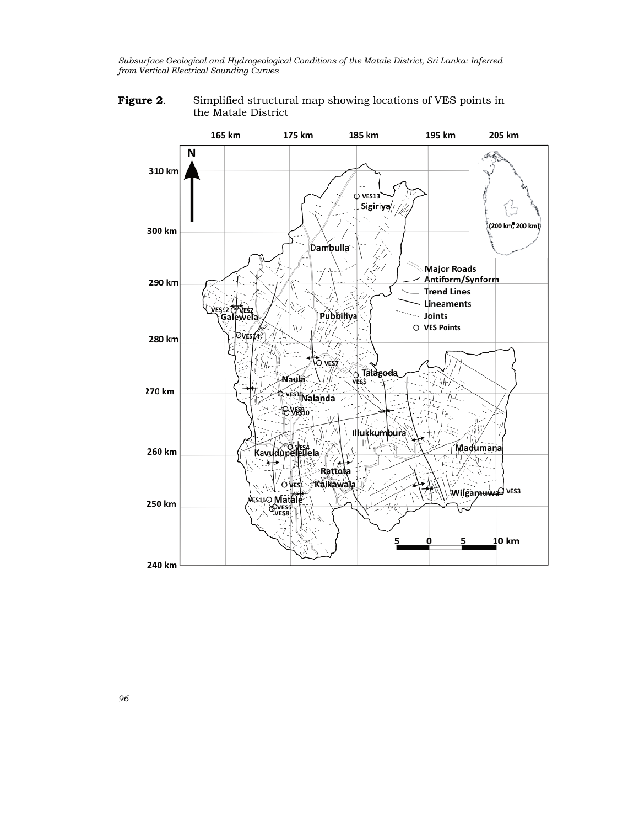Figure 2. Simplified structural map showing locations of VES points in the Matale District



96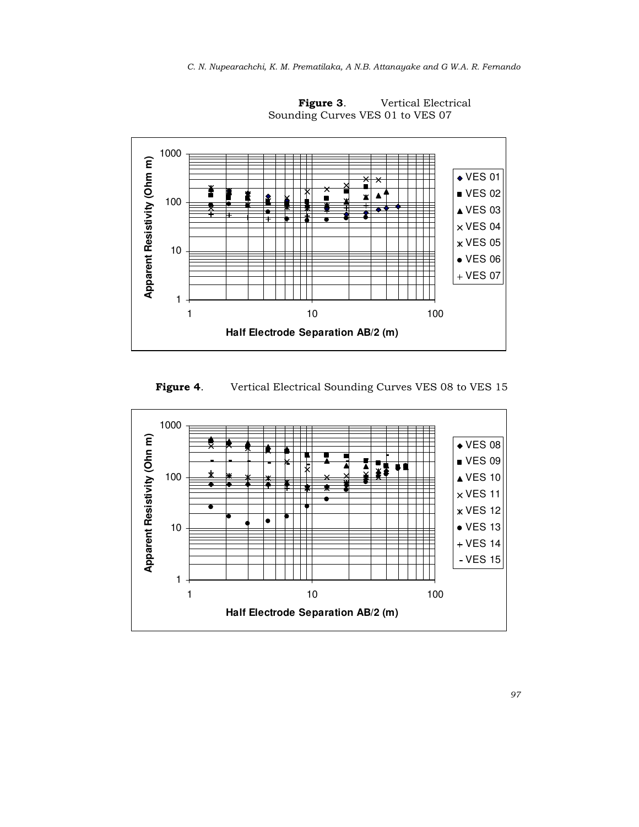

Figure 3. Vertical Electrical Sounding Curves VES 01 to VES 07

Figure 4. Vertical Electrical Sounding Curves VES 08 to VES 15

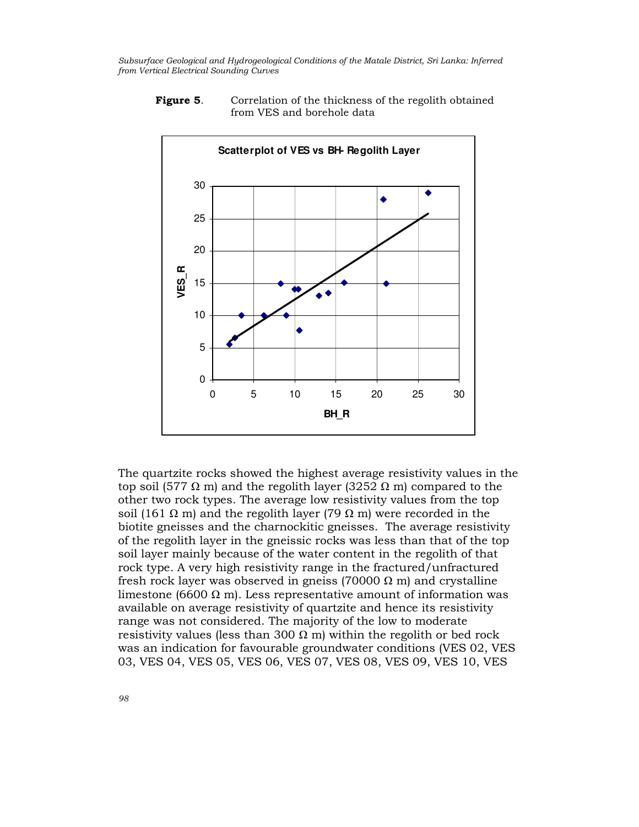

**Figure 5.** Correlation of the thickness of the regolith obtained from VES and borehole data

The quartzite rocks showed the highest average resistivity values in the top soil (577 Ω m) and the regolith layer (3252 Ω m) compared to the other two rock types. The average low resistivity values from the top soil (161 Ω m) and the regolith layer (79 Ω m) were recorded in the biotite gneisses and the charnockitic gneisses. The average resistivity of the regolith layer in the gneissic rocks was less than that of the top soil layer mainly because of the water content in the regolith of that rock type. A very high resistivity range in the fractured/unfractured fresh rock layer was observed in gneiss (70000  $\Omega$  m) and crystalline limestone (6600  $\Omega$  m). Less representative amount of information was available on average resistivity of quartzite and hence its resistivity range was not considered. The majority of the low to moderate resistivity values (less than 300  $\Omega$  m) within the regolith or bed rock was an indication for favourable groundwater conditions (VES 02, VES 03, VES 04, VES 05, VES 06, VES 07, VES 08, VES 09, VES 10, VES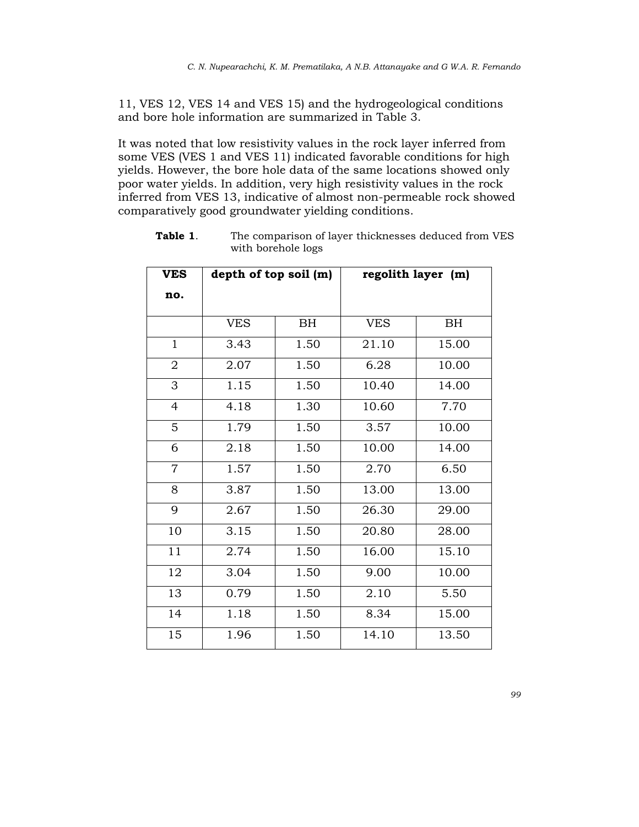11, VES 12, VES 14 and VES 15) and the hydrogeological conditions and bore hole information are summarized in Table 3.

It was noted that low resistivity values in the rock layer inferred from some VES (VES 1 and VES 11) indicated favorable conditions for high yields. However, the bore hole data of the same locations showed only poor water yields. In addition, very high resistivity values in the rock inferred from VES 13, indicative of almost non-permeable rock showed comparatively good groundwater yielding conditions.

| <b>VES</b>     | depth of top soil (m) |      | regolith layer (m) |           |  |
|----------------|-----------------------|------|--------------------|-----------|--|
| no.            |                       |      |                    |           |  |
|                | <b>VES</b>            | BH   | <b>VES</b>         | <b>BH</b> |  |
| $\mathbf{1}$   | 3.43                  | 1.50 | 21.10              | 15.00     |  |
| $\overline{2}$ | 2.07                  | 1.50 | 6.28               | 10.00     |  |
| 3              | 1.15                  | 1.50 | 10.40              | 14.00     |  |
| $\overline{4}$ | 4.18                  | 1.30 | 10.60              | 7.70      |  |
| 5              | $\overline{1.79}$     | 1.50 | 3.57               | 10.00     |  |
| 6              | 2.18                  | 1.50 | 10.00              | 14.00     |  |
| $\overline{7}$ | 1.57                  | 1.50 | 2.70               | 6.50      |  |
| 8              | 3.87                  | 1.50 | 13.00              | 13.00     |  |
| 9              | 2.67                  | 1.50 | 26.30              | 29.00     |  |
| 10             | 3.15                  | 1.50 | 20.80              | 28.00     |  |
| 11             | 2.74                  | 1.50 | 16.00              | 15.10     |  |
| 12             | 3.04                  | 1.50 | 9.00               | 10.00     |  |
| 13             | 0.79                  | 1.50 | 2.10               | 5.50      |  |
| 14             | 1.18                  | 1.50 | 8.34               | 15.00     |  |
| 15             | 1.96                  | 1.50 | 14.10              | 13.50     |  |

Table 1. The comparison of layer thicknesses deduced from VES with borehole logs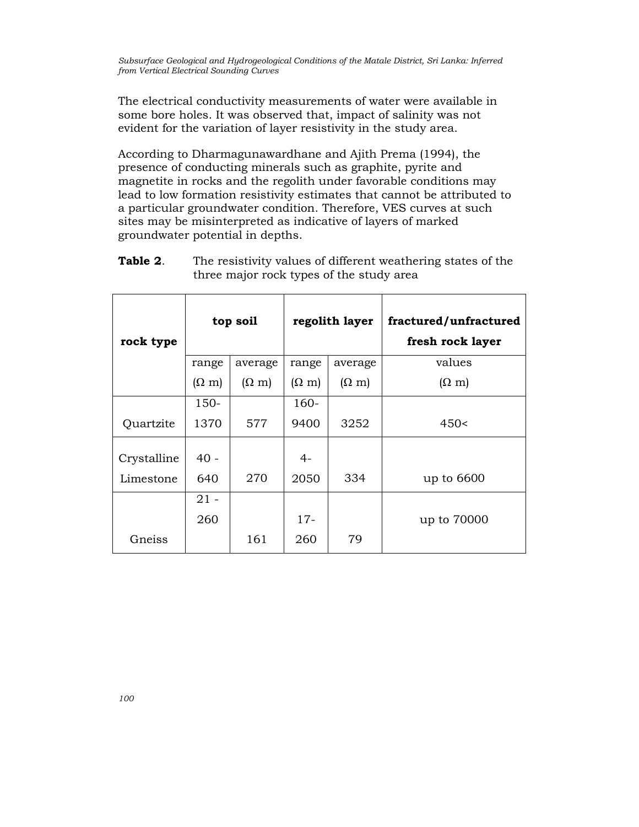The electrical conductivity measurements of water were available in some bore holes. It was observed that, impact of salinity was not evident for the variation of layer resistivity in the study area.

According to Dharmagunawardhane and Ajith Prema (1994), the presence of conducting minerals such as graphite, pyrite and magnetite in rocks and the regolith under favorable conditions may lead to low formation resistivity estimates that cannot be attributed to a particular groundwater condition. Therefore, VES curves at such sites may be misinterpreted as indicative of layers of marked groundwater potential in depths.

| Table 2. | The resistivity values of different weathering states of the |
|----------|--------------------------------------------------------------|
|          | three major rock types of the study area                     |

| rock type   | top soil     |              | regolith layer |              | fractured/unfractured<br>fresh rock layer |  |
|-------------|--------------|--------------|----------------|--------------|-------------------------------------------|--|
|             | range        | average      | range          | average      | values                                    |  |
|             | $(\Omega m)$ | $(\Omega m)$ | $(\Omega m)$   | $(\Omega$ m) | $(\Omega$ m)                              |  |
|             | $150 -$      |              | $160 -$        |              |                                           |  |
| Quartzite   | 1370         | 577          | 9400           | 3252         | 450<                                      |  |
| Crystalline | $40 -$       |              | $4-$           |              |                                           |  |
| Limestone   | 640          | 270          | 2050           | 334          | up to 6600                                |  |
|             | $21 -$       |              |                |              |                                           |  |
|             | 260          |              | $17 -$         |              | up to 70000                               |  |
| Gneiss      |              | 161          | 260            | 79           |                                           |  |

100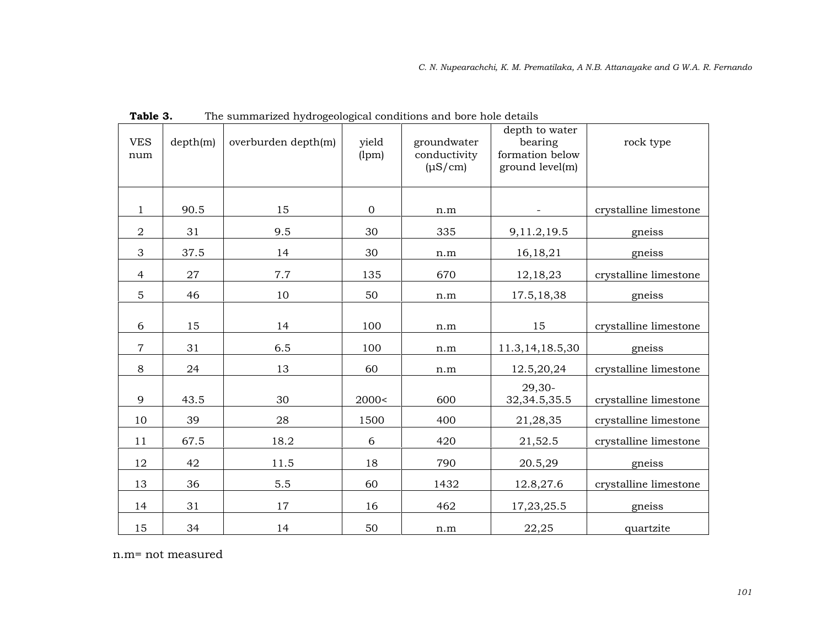| <b>VES</b><br>num         | depth(m) | overburden depth(m) | yield<br>(lpm) | groundwater<br>conductivity<br>$(\mu S/cm)$ | depth to water<br>bearing<br>formation below<br>ground level(m) | rock type             |
|---------------------------|----------|---------------------|----------------|---------------------------------------------|-----------------------------------------------------------------|-----------------------|
| 1                         | 90.5     | 15                  | $\mathbf{0}$   | n.m                                         |                                                                 | crystalline limestone |
| $\overline{2}$            | 31       | 9.5                 | 30             | 335                                         | 9,11.2,19.5                                                     | gneiss                |
| $\ensuremath{\mathsf{3}}$ | 37.5     | 14                  | 30             | n.m                                         | 16, 18, 21                                                      | gneiss                |
| $\overline{4}$            | 27       | 7.7                 | 135            | 670                                         | 12, 18, 23                                                      | crystalline limestone |
| $\overline{5}$            | 46       | 10                  | 50             | n.m                                         | 17.5, 18, 38                                                    | gneiss                |
| 6                         | 15       | 14                  | 100            | n.m                                         | 15                                                              | crystalline limestone |
| $\overline{7}$            | 31       | 6.5                 | 100            | n.m                                         | 11.3, 14, 18.5, 30                                              | gneiss                |
| 8                         | 24       | 13                  | 60             | n.m                                         | 12.5,20,24                                                      | crystalline limestone |
| 9                         | 43.5     | 30                  | 2000<          | 600                                         | $29,30-$<br>32, 34. 5, 35. 5                                    | crystalline limestone |
| 10                        | 39       | 28                  | 1500           | 400                                         | 21,28,35                                                        | crystalline limestone |
| 11                        | 67.5     | 18.2                | 6              | 420                                         | 21,52.5                                                         | crystalline limestone |
| 12                        | 42       | 11.5                | 18             | 790                                         | 20.5,29                                                         | gneiss                |
| 13                        | 36       | 5.5                 | 60             | 1432                                        | 12.8,27.6                                                       | crystalline limestone |
| 14                        | 31       | 17                  | 16             | 462                                         | 17, 23, 25.5                                                    | gneiss                |
| 15                        | 34       | 14                  | 50             | n.m                                         | 22,25                                                           | quartzite             |

Table 3. The summarized hydrogeological conditions and bore hole details

n.m= not measured